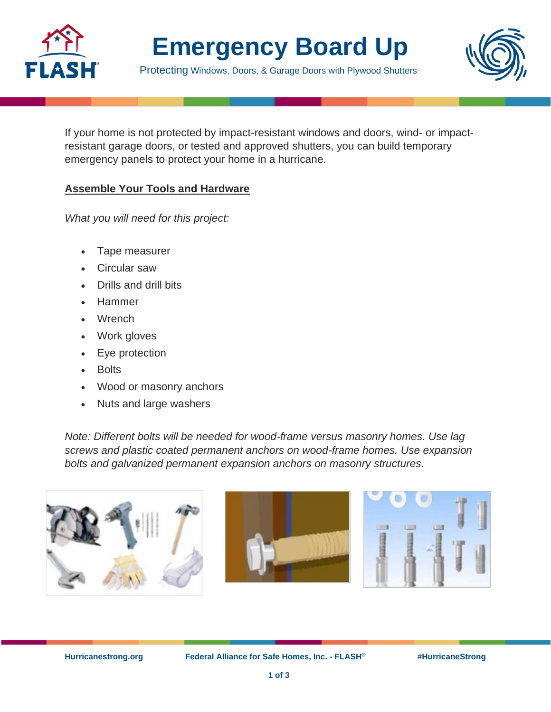

**Emergency Board Up**

Protecting Windows, Doors, & Garage Doors with Plywood Shutters



If your home is not protected by impact-resistant windows and doors, wind- or impactresistant garage doors, or tested and approved shutters, you can build temporary emergency panels to protect your home in a hurricane.

## **Assemble Your Tools and Hardware**

*What you will need for this project:*

- Tape measurer
- Circular saw
- Drills and drill bits
- Hammer
- Wrench
- Work gloves
- Eye protection
- **Bolts**
- Wood or masonry anchors
- Nuts and large washers

*Note: Different bolts will be needed for wood-frame versus masonry homes. Use lag screws and plastic coated permanent anchors on wood-frame homes. Use expansion bolts and galvanized permanent expansion anchors on masonry structures.*





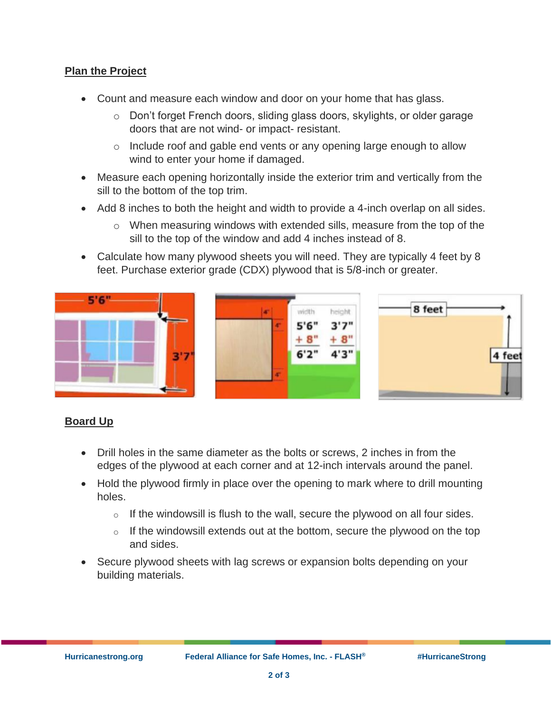## **Plan the Project**

- Count and measure each window and door on your home that has glass.
	- o Don't forget French doors, sliding glass doors, skylights, or older garage doors that are not wind- or impact- resistant.
	- $\circ$  Include roof and gable end vents or any opening large enough to allow wind to enter your home if damaged.
- Measure each opening horizontally inside the exterior trim and vertically from the sill to the bottom of the top trim.
- Add 8 inches to both the height and width to provide a 4-inch overlap on all sides.
	- $\circ$  When measuring windows with extended sills, measure from the top of the sill to the top of the window and add 4 inches instead of 8.
- Calculate how many plywood sheets you will need. They are typically 4 feet by 8 feet. Purchase exterior grade (CDX) plywood that is 5/8-inch or greater.



## **Board Up**

- Drill holes in the same diameter as the bolts or screws, 2 inches in from the edges of the plywood at each corner and at 12-inch intervals around the panel.
- Hold the plywood firmly in place over the opening to mark where to drill mounting holes.
	- $\circ$  If the windowsill is flush to the wall, secure the plywood on all four sides.
	- $\circ$  If the windowsill extends out at the bottom, secure the plywood on the top and sides.
- Secure plywood sheets with lag screws or expansion bolts depending on your building materials.